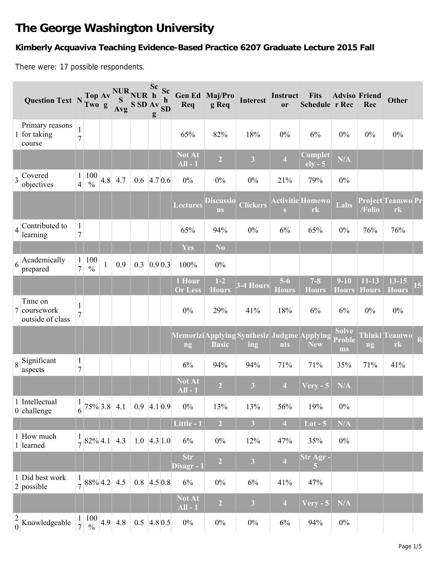# **The George Washington University**

## **Kimberly Acquaviva Teaching Evidence-Based Practice 6207 Graduate Lecture 2015 Fall**

There were: 17 possible respondents.

|                | Question Text $N_{\text{Two}}^{\text{Top}}$ $\alpha$         |                                  |                           |   | Top Av NUR NUR h<br>$\mathbf{S}$<br>$\frac{S}{Avg}$ S SD Av $\frac{h}{SD}$ |     | <b>Sc</b><br>g | <b>Sc</b><br>$\mathbf{h}$ | Req                      | Gen Ed Maj/Pro<br>g Req  | <b>Interest</b>                                           | Instruct<br><sub>or</sub> | <b>Fits</b><br>Schedule r Rec | <b>Adviso Friend</b>                | Rec                       | <b>Other</b>              |    |
|----------------|--------------------------------------------------------------|----------------------------------|---------------------------|---|----------------------------------------------------------------------------|-----|----------------|---------------------------|--------------------------|--------------------------|-----------------------------------------------------------|---------------------------|-------------------------------|-------------------------------------|---------------------------|---------------------------|----|
|                | Primary reasons<br>1 for taking<br>course                    | $\mathbf{1}$<br>$\overline{7}$   |                           |   |                                                                            |     |                |                           | 65%                      | 82%                      | 18%                                                       | 0%                        | 6%                            | $0\%$                               | $0\%$                     | $0\%$                     |    |
|                |                                                              |                                  |                           |   |                                                                            |     |                |                           | Not At<br>$All - 1$      | $\overline{2}$           | 3                                                         | $\overline{4}$            | Complet<br>$ely - 5$          | N/A                                 |                           |                           |    |
| $\overline{3}$ | Covered<br>objectives                                        | $\mathbf{1}$<br>$\overline{4}$   | 100<br>$\frac{0}{0}$      |   | $4.8$ 4.7                                                                  |     | $0.6$ 4.7 0.6  |                           | $0\%$                    | $0\%$                    | $0\%$                                                     | 21%                       | 79%                           | $0\%$                               |                           |                           |    |
|                |                                                              |                                  |                           |   |                                                                            |     |                |                           | <b>Lectures</b>          | <b>Discussio</b><br>$ns$ | <b>Clickers</b>                                           | S                         | <b>Activitie Homewo</b><br>rk | Labs                                | /Folio                    | Project Teamwo Pr<br>rk   |    |
| $\overline{4}$ | Contributed to<br>learning                                   | $\mathbf{1}$<br>$\sqrt{ }$       |                           |   |                                                                            |     |                |                           | 65%                      | 94%                      | $0\%$                                                     | 6%                        | 65%                           | $0\%$                               | 76%                       | 76%                       |    |
|                |                                                              |                                  |                           |   |                                                                            |     |                |                           | Yes                      | N <sub>o</sub>           |                                                           |                           |                               |                                     |                           |                           |    |
| 6              | Academically<br>prepared                                     | $\mathbf{1}$<br>$\overline{7}$   | 100<br>$\frac{0}{0}$      | 1 | 0.9                                                                        | 0.3 | 0.9 0.3        |                           | 100%                     | $0\%$                    |                                                           |                           |                               |                                     |                           |                           |    |
|                |                                                              |                                  |                           |   |                                                                            |     |                |                           | 1 Hour<br><b>Or Less</b> | $1-2$<br><b>Hours</b>    | 3-4 Hours                                                 | $5-6$<br><b>Hours</b>     | $7 - 8$<br><b>Hours</b>       | $9 - 10$<br><b>Hours</b>            | $11 - 13$<br><b>Hours</b> | $13 - 15$<br><b>Hours</b> | 15 |
|                | Time on<br>7 coursework<br>outside of class                  | $\mathbf{1}$<br>$\overline{7}$   |                           |   |                                                                            |     |                |                           | $0\%$                    | 29%                      | 41%                                                       | 18%                       | 6%                            | 6%                                  | $0\%$                     | $0\%$                     |    |
|                |                                                              |                                  |                           |   |                                                                            |     |                |                           | ng                       | <b>Basic</b>             | <b>Memorizi</b> Applying Synthesiz Judgme Applying<br>ing | nts                       | <b>New</b>                    | <b>Solve</b><br><b>Proble</b><br>ms | ng                        | Thinki Teamwo<br>rk       |    |
|                | $8 \overline{\smash{\big } \mathbf{Significant}}$<br>aspects | $\mathbf{1}$<br>$\boldsymbol{7}$ |                           |   |                                                                            |     |                |                           | 6%                       | 94%                      | 94%                                                       | 71%                       | 71%                           | 35%                                 | 71%                       | 41%                       |    |
|                |                                                              |                                  |                           |   |                                                                            |     |                |                           | Not At<br>$All - 1$      | $\overline{2}$           | $\overline{\mathbf{3}}$                                   | $\overline{4}$            | <b>Very - 5</b>               | N/A                                 |                           |                           |    |
|                | 1 Intellectual<br>$0$ challenge                              | $\mathbf{1}$<br>6                |                           |   | $75\%$ 3.8 4.1                                                             |     | $0.9$ 4.1 0.9  |                           | $0\%$                    | 13%                      | 13%                                                       | 56%                       | 19%                           | $0\%$                               |                           |                           |    |
|                |                                                              |                                  |                           |   |                                                                            |     |                |                           | Little - 1               | $\overline{2}$           | $\overline{\mathbf{3}}$                                   | $\overline{4}$            | $Lot - 5$                     | N/A                                 |                           |                           |    |
|                | 1 How much<br>1 learned                                      |                                  | $\frac{1}{7}$ 82% 4.1 4.3 |   |                                                                            |     | $1.0$ 4.3 1.0  |                           | 6%                       | $0\%$                    | 12%                                                       | 47%                       | 35%                           | $0\%$                               |                           |                           |    |
|                |                                                              |                                  |                           |   |                                                                            |     |                |                           | <b>Str</b><br>Disagr - 1 | $\overline{2}$           | $\overline{\mathbf{3}}$                                   | $\overline{\mathbf{4}}$   | Str Agr -<br>5                |                                     |                           |                           |    |
|                | 1 Did best work<br>$2$ possible                              | $\mathbf{1}$                     |                           |   | $\frac{1}{7}$ 88% 4.2 4.5                                                  |     | $0.8$ 4.5 0.8  |                           | 6%                       | $0\%$                    | $6\%$                                                     | 41%                       | 47%                           |                                     |                           |                           |    |
|                |                                                              |                                  |                           |   |                                                                            |     |                |                           | Not At<br>$All - 1$      | $\overline{2}$           | $\overline{\mathbf{3}}$                                   | $\overline{4}$            | $Very - 5$                    | N/A                                 |                           |                           |    |
|                | $\frac{2}{0}$ Knowledgeable                                  |                                  |                           |   | $\frac{1}{7} \begin{vmatrix} 100 \\ 96 \end{vmatrix}$ 4.9 4.8              |     | $0.5$ 4.8 0.5  |                           | $0\%$                    | $0\%$                    | $0\%$                                                     | 6%                        | 94%                           | $0\%$                               |                           |                           |    |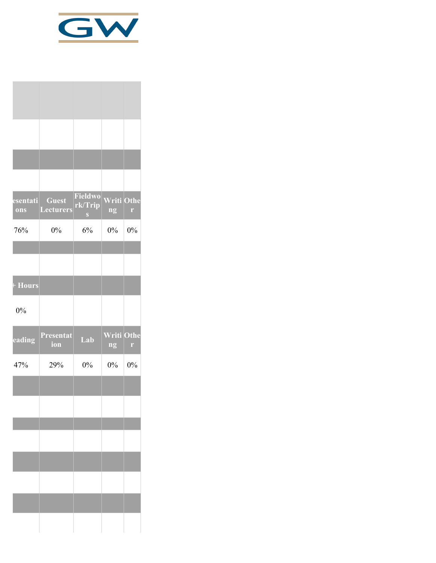

| <b>Guest</b><br><b>Lecturers</b> | Fieldwo<br>rk/Trip<br>$\mathbf{S}$ | ng    | r                               |
|----------------------------------|------------------------------------|-------|---------------------------------|
| $0\%$                            | 6%                                 | $0\%$ | 0%                              |
|                                  |                                    |       |                                 |
|                                  |                                    |       |                                 |
|                                  |                                    |       |                                 |
| Presentat<br>ion                 | Lab                                | ng    | r,                              |
| 29%                              | 0%                                 | 0%    | 0%                              |
|                                  |                                    |       |                                 |
|                                  |                                    |       |                                 |
|                                  |                                    |       |                                 |
|                                  |                                    |       |                                 |
|                                  |                                    |       |                                 |
|                                  |                                    |       |                                 |
|                                  |                                    |       |                                 |
|                                  |                                    |       | <b>Writi Othe</b><br>Writi Othe |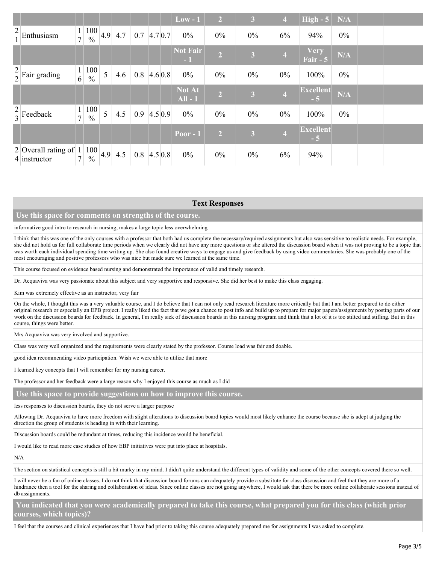|               |                                                     |                     |                                          |   |                                                       |               |        | $Low - 1$               | $\overline{2}$ | $\overline{3}$          | $\overline{4}$          | $High - 5$               | N/A   |  |  |
|---------------|-----------------------------------------------------|---------------------|------------------------------------------|---|-------------------------------------------------------|---------------|--------|-------------------------|----------------|-------------------------|-------------------------|--------------------------|-------|--|--|
| $\frac{2}{1}$ | Enthusiasm                                          | $\overline{7}$      | $\cdot$   $100$   4.9  <br>$\frac{0}{0}$ |   | 4.7                                                   | $0.7$ 4.7 0.7 |        | $0\%$                   | $0\%$          | $0\%$                   | 6%                      | 94%                      | $0\%$ |  |  |
|               |                                                     |                     |                                          |   |                                                       |               |        | <b>Not Fair</b><br>$-1$ | $\overline{2}$ | 3                       | $\overline{\mathbf{4}}$ | <b>Very</b><br>Fair $-5$ | N/A   |  |  |
|               | $\begin{bmatrix} 2 \\ 2 \end{bmatrix}$ Fair grading | 1 <sup>1</sup><br>6 | 100<br>$\frac{0}{0}$                     | 5 | 4.6                                                   | 0.8           | 4.60.8 | $0\%$                   | $0\%$          | $0\%$                   | $0\%$                   | 100%                     | $0\%$ |  |  |
|               |                                                     |                     |                                          |   |                                                       |               |        | Not At<br>$All - 1$     | 2 <sup>1</sup> | $\overline{\mathbf{3}}$ | $\overline{4}$          | <b>Excellent</b><br>$-5$ | N/A   |  |  |
|               | $\begin{array}{c c} 2 \\ 3 \end{array}$ Feedback    | $\tau$              | 100<br>$\frac{0}{0}$                     | 5 | 4.5                                                   | $0.9$ 4.5 0.9 |        | $0\%$                   | $0\%$          | $0\%$                   | $0\%$                   | 100%                     | $0\%$ |  |  |
|               |                                                     |                     |                                          |   |                                                       |               |        | Poor - $1$              | $\overline{2}$ | $\overline{\mathbf{3}}$ | $\overline{4}$          | <b>Excellent</b><br>$-5$ |       |  |  |
|               | 2 Overall rating of $ 1 $<br>4 instructor           | $\tau$              | $\frac{0}{0}$                            |   | $\left  \frac{100}{2} \right  4.9 \left  4.5 \right $ | $0.8$ 4.5 0.8 |        | $0\%$                   | $0\%$          | $0\%$                   | 6%                      | 94%                      |       |  |  |

#### **Text Responses**

#### **Use this space for comments on strengths of the course.**

#### informative good intro to research in nursing, makes a large topic less overwhelming

I think that this was one of the only courses with a professor that both had us complete the necessary/required assignments but also was sensitive to realistic needs. For example, she did not hold us for full collaborate time periods when we clearly did not have any more questions or she altered the discussion board when it was not proving to be a topic that was worth each individual spending time writing up. She also found creative ways to engage us and give feedback by using video commentaries. She was probably one of the most encouraging and positive professors who was nice but made sure we learned at the same time.

This course focused on evidence based nursing and demonstrated the importance of valid and timely research.

Dr. Acquaviva was very passionate about this subject and very supportive and responsive. She did her best to make this class engaging.

Kim was extremely effective as an instructor, very fair

On the whole, I thought this was a very valuable course, and I do believe that I can not only read research literature more critically but that I am better prepared to do either original research or especially an EPB project. I really liked the fact that we got a chance to post info and build up to prepare for major papers/assignments by posting parts of our work on the discussion boards for feedback. In general, I'm really sick of discussion boards in this nursing program and think that a lot of it is too stilted and stifling. But in this course, things were better.

Mrs.Acquaviva was very involved and supportive.

Class was very well organized and the requirements were clearly stated by the professor. Course load was fair and doable.

good idea recommending video participation. Wish we were able to utilize that more

I learned key concepts that I will remember for my nursing career.

The professor and her feedback were a large reason why I enjoyed this course as much as I did

#### **Use this space to provide suggestions on how to improve this course.**

less responses to discussion boards, they do not serve a larger purpose

Allowing Dr. Acquaviva to have more freedom with slight alterations to discussion board topics would most likely enhance the course because she is adept at judging the direction the group of students is heading in with their learning.

Discussion boards could be redundant at times, reducing this incidence would be beneficial.

I would like to read more case studies of how EBP initiatives were put into place at hospitals.

N/A

The section on statistical concepts is still a bit murky in my mind. I didn't quite understand the different types of validity and some of the other concepts covered there so well.

I will never be a fan of online classes. I do not think that discussion board forums can adequately provide a substitute for class discussion and feel that they are more of a hindrance then a tool for the sharing and collaboration of ideas. Since online classes are not going anywhere, I would ask that there be more online collaborate sessions instead of db assignments.

### **You indicated that you were academically prepared to take this course, what prepared you for this class (which prior courses, which topics)?**

I feel that the courses and clinical experiences that I have had prior to taking this course adequately prepared me for assignments I was asked to complete.